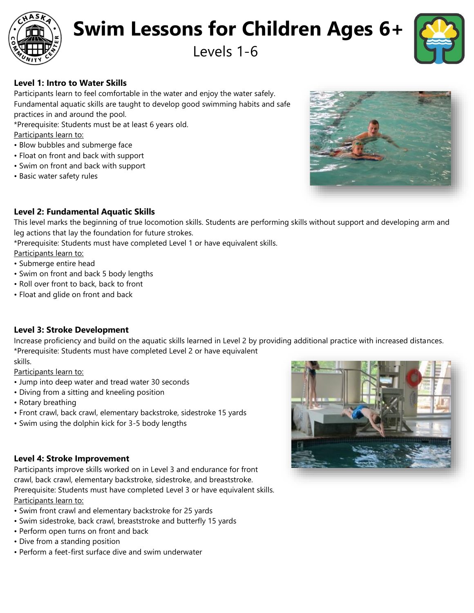

# **Swim Lessons for Children Ages 6+**

## Levels 1-6



### **Level 1: Intro to Water Skills**

Participants learn to feel comfortable in the water and enjoy the water safely. Fundamental aquatic skills are taught to develop good swimming habits and safe practices in and around the pool.

\*Prerequisite: Students must be at least 6 years old.

Participants learn to:

- Blow bubbles and submerge face
- Float on front and back with support
- Swim on front and back with support
- Basic water safety rules



#### **Level 2: Fundamental Aquatic Skills**

This level marks the beginning of true locomotion skills. Students are performing skills without support and developing arm and leg actions that lay the foundation for future strokes.

\*Prerequisite: Students must have completed Level 1 or have equivalent skills.

Participants learn to:

- Submerge entire head
- Swim on front and back 5 body lengths
- Roll over front to back, back to front
- Float and glide on front and back

#### **Level 3: Stroke Development**

Increase proficiency and build on the aquatic skills learned in Level 2 by providing additional practice with increased distances. \*Prerequisite: Students must have completed Level 2 or have equivalent skills.

Participants learn to:

- Jump into deep water and tread water 30 seconds
- Diving from a sitting and kneeling position
- Rotary breathing
- Front crawl, back crawl, elementary backstroke, sidestroke 15 yards
- Swim using the dolphin kick for 3-5 body lengths

#### **Level 4: Stroke Improvement**

Participants improve skills worked on in Level 3 and endurance for front crawl, back crawl, elementary backstroke, sidestroke, and breaststroke. Prerequisite: Students must have completed Level 3 or have equivalent skills. Participants learn to:

- Swim front crawl and elementary backstroke for 25 yards
- Swim sidestroke, back crawl, breaststroke and butterfly 15 yards
- Perform open turns on front and back
- Dive from a standing position
- Perform a feet-first surface dive and swim underwater